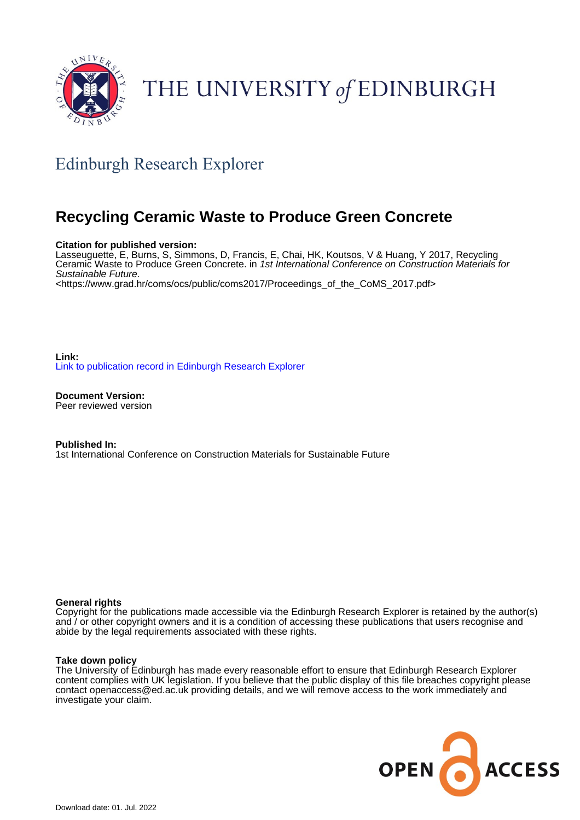

# THE UNIVERSITY of EDINBURGH

# Edinburgh Research Explorer

# **Recycling Ceramic Waste to Produce Green Concrete**

#### **Citation for published version:**

Lasseuguette, E, Burns, S, Simmons, D, Francis, E, Chai, HK, Koutsos, V & Huang, Y 2017, Recycling Ceramic Waste to Produce Green Concrete. in 1st International Conference on Construction Materials for Sustainable Future. <[https://www.grad.hr/coms/ocs/public/coms2017/Proceedings\\_of\\_the\\_CoMS\\_2017.pdf](https://www.grad.hr/coms/ocs/public/coms2017/Proceedings_of_the_CoMS_2017.pdf)>

**Link:** [Link to publication record in Edinburgh Research Explorer](https://www.research.ed.ac.uk/en/publications/3610c067-83f0-4032-8c66-3cc278bbc874)

**Document Version:** Peer reviewed version

**Published In:** 1st International Conference on Construction Materials for Sustainable Future

#### **General rights**

Copyright for the publications made accessible via the Edinburgh Research Explorer is retained by the author(s) and / or other copyright owners and it is a condition of accessing these publications that users recognise and abide by the legal requirements associated with these rights.

#### **Take down policy**

The University of Edinburgh has made every reasonable effort to ensure that Edinburgh Research Explorer content complies with UK legislation. If you believe that the public display of this file breaches copyright please contact openaccess@ed.ac.uk providing details, and we will remove access to the work immediately and investigate your claim.

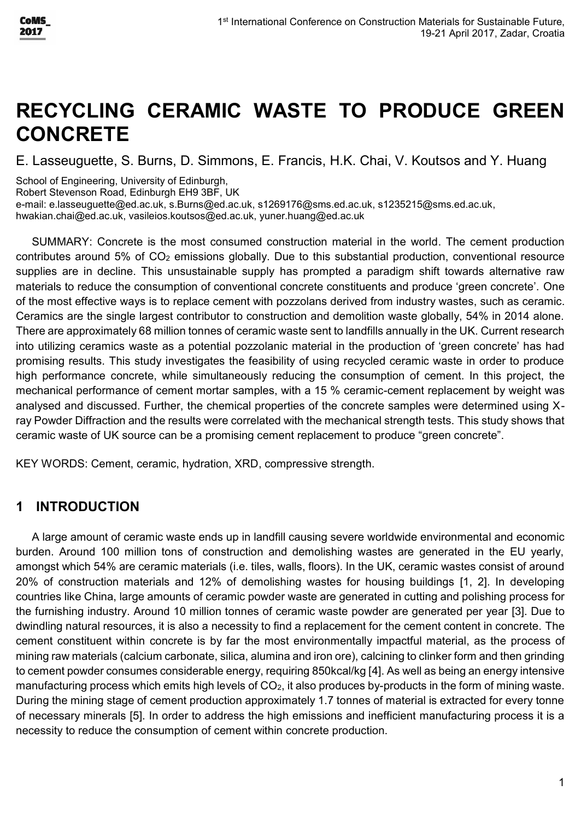# **RECYCLING CERAMIC WASTE TO PRODUCE GREEN CONCRETE**

E. Lasseuguette, S. Burns, D. Simmons, E. Francis, H.K. Chai, V. Koutsos and Y. Huang

School of Engineering, University of Edinburgh,

Robert Stevenson Road, Edinburgh EH9 3BF, UK

e-mail[: e.lasseuguette@ed.ac.uk,](mailto:e.lasseuguette@ed.ac.uk) [s.Burns@ed.ac.uk,](mailto:S.Burns@ed.ac.uk) [s1269176@sms.ed.ac.uk,](https://www.staffmail.ed.ac.uk/imp/compose.php?to=SIMMONS+Daniel+%3Cs1269176%40sms.ed.ac.uk%3E) [s1235215@sms.ed.ac.uk,](https://www.staffmail.ed.ac.uk/imp/compose.php?to=FRANCIS+Erik+%3Cs1235215%40sms.ed.ac.uk%3E)

[hwakian.chai@ed.ac.uk,](mailto:Hwakian.Chai@ed.ac.uk) vasileios.koutsos@ed.ac.uk, yuner.huang@ed.ac.uk

SUMMARY: Concrete is the most consumed construction material in the world. The cement production contributes around 5% of CO<sub>2</sub> emissions globally. Due to this substantial production, conventional resource supplies are in decline. This unsustainable supply has prompted a paradigm shift towards alternative raw materials to reduce the consumption of conventional concrete constituents and produce 'green concrete'. One of the most effective ways is to replace cement with pozzolans derived from industry wastes, such as ceramic. Ceramics are the single largest contributor to construction and demolition waste globally, 54% in 2014 alone. There are approximately 68 million tonnes of ceramic waste sent to landfills annually in the UK. Current research into utilizing ceramics waste as a potential pozzolanic material in the production of 'green concrete' has had promising results. This study investigates the feasibility of using recycled ceramic waste in order to produce high performance concrete, while simultaneously reducing the consumption of cement. In this project, the mechanical performance of cement mortar samples, with a 15 % ceramic-cement replacement by weight was analysed and discussed. Further, the chemical properties of the concrete samples were determined using Xray Powder Diffraction and the results were correlated with the mechanical strength tests. This study shows that ceramic waste of UK source can be a promising cement replacement to produce "green concrete".

KEY WORDS: Cement, ceramic, hydration, XRD, compressive strength.

### **1 INTRODUCTION**

A large amount of ceramic waste ends up in landfill causing severe worldwide environmental and economic burden. Around 100 million tons of construction and demolishing wastes are generated in the EU yearly, amongst which 54% are ceramic materials (i.e. tiles, walls, floors). In the UK, ceramic wastes consist of around 20% of construction materials and 12% of demolishing wastes for housing buildings [1, 2]. In developing countries like China, large amounts of ceramic powder waste are generated in cutting and polishing process for the furnishing industry. Around 10 million tonnes of ceramic waste powder are generated per year [3]. Due to dwindling natural resources, it is also a necessity to find a replacement for the cement content in concrete. The cement constituent within concrete is by far the most environmentally impactful material, as the process of mining raw materials (calcium carbonate, silica, alumina and iron ore), calcining to clinker form and then grinding to cement powder consumes considerable energy, requiring 850kcal/kg [4]. As well as being an energy intensive manufacturing process which emits high levels of  $CO<sub>2</sub>$ , it also produces by-products in the form of mining waste. During the mining stage of cement production approximately 1.7 tonnes of material is extracted for every tonne of necessary minerals [5]. In order to address the high emissions and inefficient manufacturing process it is a necessity to reduce the consumption of cement within concrete production.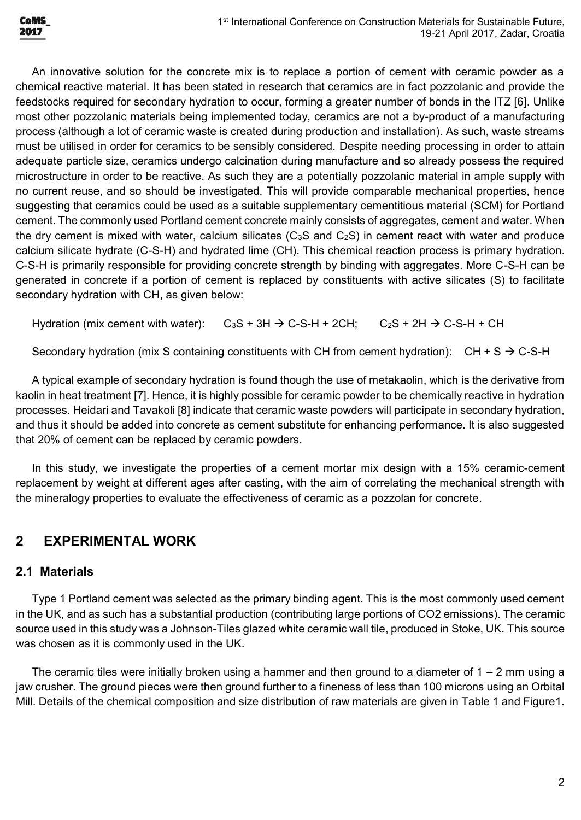

An innovative solution for the concrete mix is to replace a portion of cement with ceramic powder as a chemical reactive material. It has been stated in research that ceramics are in fact pozzolanic and provide the feedstocks required for secondary hydration to occur, forming a greater number of bonds in the ITZ [6]. Unlike most other pozzolanic materials being implemented today, ceramics are not a by-product of a manufacturing process (although a lot of ceramic waste is created during production and installation). As such, waste streams must be utilised in order for ceramics to be sensibly considered. Despite needing processing in order to attain adequate particle size, ceramics undergo calcination during manufacture and so already possess the required microstructure in order to be reactive. As such they are a potentially pozzolanic material in ample supply with no current reuse, and so should be investigated. This will provide comparable mechanical properties, hence suggesting that ceramics could be used as a suitable supplementary cementitious material (SCM) for Portland cement. The commonly used Portland cement concrete mainly consists of aggregates, cement and water. When the dry cement is mixed with water, calcium silicates ( $C_3S$  and  $C_2S$ ) in cement react with water and produce calcium silicate hydrate (C-S-H) and hydrated lime (CH). This chemical reaction process is primary hydration. C-S-H is primarily responsible for providing concrete strength by binding with aggregates. More C-S-H can be generated in concrete if a portion of cement is replaced by constituents with active silicates (S) to facilitate secondary hydration with CH, as given below:

Hydration (mix cement with water):  $C_3S + 3H \rightarrow C-S-H + 2CH$ ;  $C_2S + 2H \rightarrow C-S-H + CH$ 

Secondary hydration (mix S containing constituents with CH from cement hydration):  $CH + S \rightarrow C-S-H$ 

A typical example of secondary hydration is found though the use of metakaolin, which is the derivative from kaolin in heat treatment [7]. Hence, it is highly possible for ceramic powder to be chemically reactive in hydration processes. Heidari and Tavakoli [8] indicate that ceramic waste powders will participate in secondary hydration, and thus it should be added into concrete as cement substitute for enhancing performance. It is also suggested that 20% of cement can be replaced by ceramic powders.

In this study, we investigate the properties of a cement mortar mix design with a 15% ceramic-cement replacement by weight at different ages after casting, with the aim of correlating the mechanical strength with the mineralogy properties to evaluate the effectiveness of ceramic as a pozzolan for concrete.

### **2 EXPERIMENTAL WORK**

#### **2.1 Materials**

Type 1 Portland cement was selected as the primary binding agent. This is the most commonly used cement in the UK, and as such has a substantial production (contributing large portions of CO2 emissions). The ceramic source used in this study was a Johnson-Tiles glazed white ceramic wall tile, produced in Stoke, UK. This source was chosen as it is commonly used in the UK.

The ceramic tiles were initially broken using a hammer and then ground to a diameter of  $1 - 2$  mm using a jaw crusher. The ground pieces were then ground further to a fineness of less than 100 microns using an Orbital Mill. Details of the chemical composition and size distribution of raw materials are given in Table 1 and Figure1.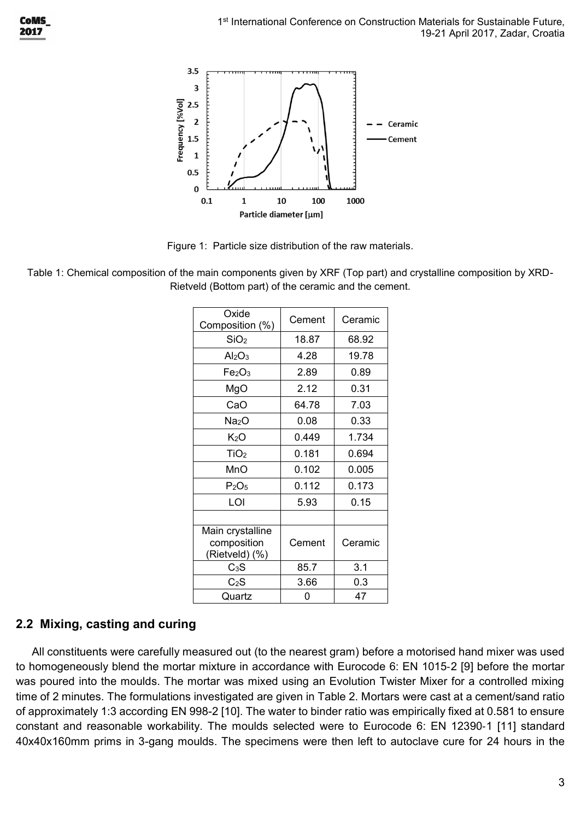

Figure 1: Particle size distribution of the raw materials.

Table 1: Chemical composition of the main components given by XRF (Top part) and crystalline composition by XRD-Rietveld (Bottom part) of the ceramic and the cement.

| Oxide<br>Composition (%)                          | Cement | Ceramic |
|---------------------------------------------------|--------|---------|
| SiO <sub>2</sub>                                  | 18.87  | 68.92   |
| Al <sub>2</sub> O <sub>3</sub>                    | 4.28   | 19.78   |
| Fe <sub>2</sub> O <sub>3</sub>                    | 2.89   | 0.89    |
| MgO                                               | 2.12   | 0.31    |
| CaO                                               | 64.78  | 7.03    |
| Na <sub>2</sub> O                                 | 0.08   | 0.33    |
| K <sub>2</sub> O                                  | 0.449  | 1.734   |
| TiO <sub>2</sub>                                  | 0.181  | 0.694   |
| MnO                                               | 0.102  | 0.005   |
| $P_2O_5$                                          | 0.112  | 0.173   |
| LOI                                               | 5.93   | 0.15    |
|                                                   |        |         |
| Main crystalline<br>composition<br>(Rietveld) (%) | Cement | Ceramic |
| $C_3S$                                            | 85.7   | 3.1     |
| $C_2S$                                            | 3.66   | 0.3     |
| Quartz                                            | ი      | 47      |

## **2.2 Mixing, casting and curing**

All constituents were carefully measured out (to the nearest gram) before a motorised hand mixer was used to homogeneously blend the mortar mixture in accordance with Eurocode 6: EN 1015‐2 [9] before the mortar was poured into the moulds. The mortar was mixed using an Evolution Twister Mixer for a controlled mixing time of 2 minutes. The formulations investigated are given in Table 2. Mortars were cast at a cement/sand ratio of approximately 1:3 according EN 998-2 [10]. The water to binder ratio was empirically fixed at 0.581 to ensure constant and reasonable workability. The moulds selected were to Eurocode 6: EN 12390‐1 [11] standard 40x40x160mm prims in 3-gang moulds. The specimens were then left to autoclave cure for 24 hours in the

**CoMS** 2017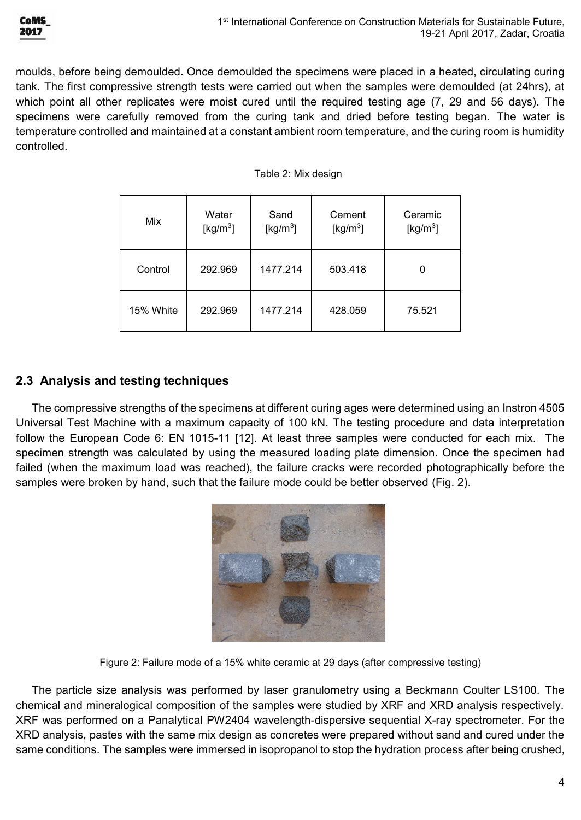

moulds, before being demoulded. Once demoulded the specimens were placed in a heated, circulating curing tank. The first compressive strength tests were carried out when the samples were demoulded (at 24hrs), at which point all other replicates were moist cured until the required testing age (7, 29 and 56 days). The specimens were carefully removed from the curing tank and dried before testing began. The water is temperature controlled and maintained at a constant ambient room temperature, and the curing room is humidity controlled.

|  | Table 2: Mix design |
|--|---------------------|
|  |                     |

| Mix       | Water<br>[ $kg/m3$ ] | Sand<br>[ $kg/m3$ ] | Cement<br>[ $kg/m3$ ] | Ceramic<br>[ $kg/m3$ ] |
|-----------|----------------------|---------------------|-----------------------|------------------------|
| Control   | 292.969              | 1477.214            | 503.418               |                        |
| 15% White | 292.969              | 1477.214            | 428.059               | 75.521                 |

#### **2.3 Analysis and testing techniques**

The compressive strengths of the specimens at different curing ages were determined using an Instron 4505 Universal Test Machine with a maximum capacity of 100 kN. The testing procedure and data interpretation follow the European Code 6: EN 1015-11 [12]. At least three samples were conducted for each mix. The specimen strength was calculated by using the measured loading plate dimension. Once the specimen had failed (when the maximum load was reached), the failure cracks were recorded photographically before the samples were broken by hand, such that the failure mode could be better observed (Fig. 2).



Figure 2: Failure mode of a 15% white ceramic at 29 days (after compressive testing)

The particle size analysis was performed by laser granulometry using a Beckmann Coulter LS100. The chemical and mineralogical composition of the samples were studied by XRF and XRD analysis respectively. XRF was performed on a Panalytical PW2404 wavelength-dispersive sequential X-ray spectrometer. For the XRD analysis, pastes with the same mix design as concretes were prepared without sand and cured under the same conditions. The samples were immersed in isopropanol to stop the hydration process after being crushed,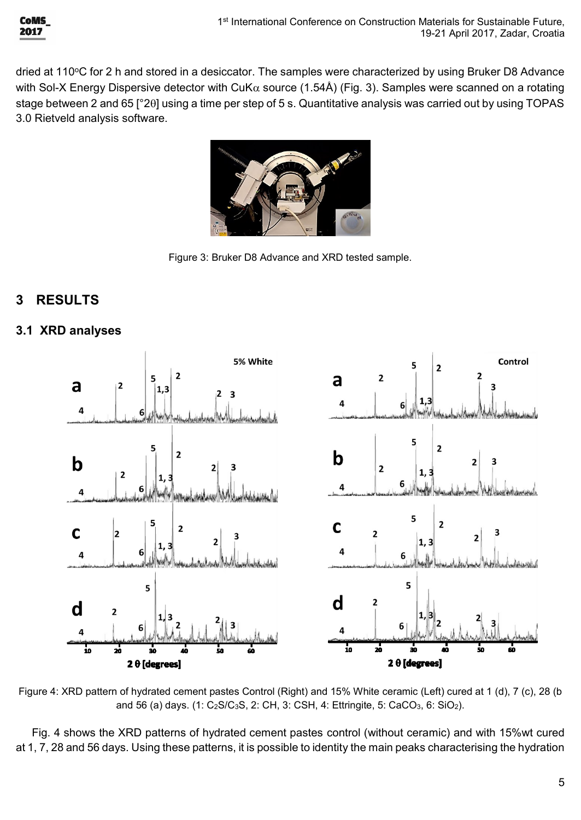

dried at 110°C for 2 h and stored in a desiccator. The samples were characterized by using Bruker D8 Advance with Sol-X Energy Dispersive detector with CuK $\alpha$  source (1.54Å) (Fig. 3). Samples were scanned on a rotating stage between 2 and 65 [°20] using a time per step of 5 s. Quantitative analysis was carried out by using TOPAS 3.0 Rietveld analysis software.



Figure 3: Bruker D8 Advance and XRD tested sample.

#### **3 RESULTS**

#### **3.1 XRD analyses**



Figure 4: XRD pattern of hydrated cement pastes Control (Right) and 15% White ceramic (Left) cured at 1 (d), 7 (c), 28 (b and 56 (a) days. (1:  $C_2S/C_3S$ , 2: CH, 3: CSH, 4: Ettringite, 5: CaCO<sub>3</sub>, 6: SiO<sub>2</sub>).

Fig. 4 shows the XRD patterns of hydrated cement pastes control (without ceramic) and with 15%wt cured at 1, 7, 28 and 56 days. Using these patterns, it is possible to identity the main peaks characterising the hydration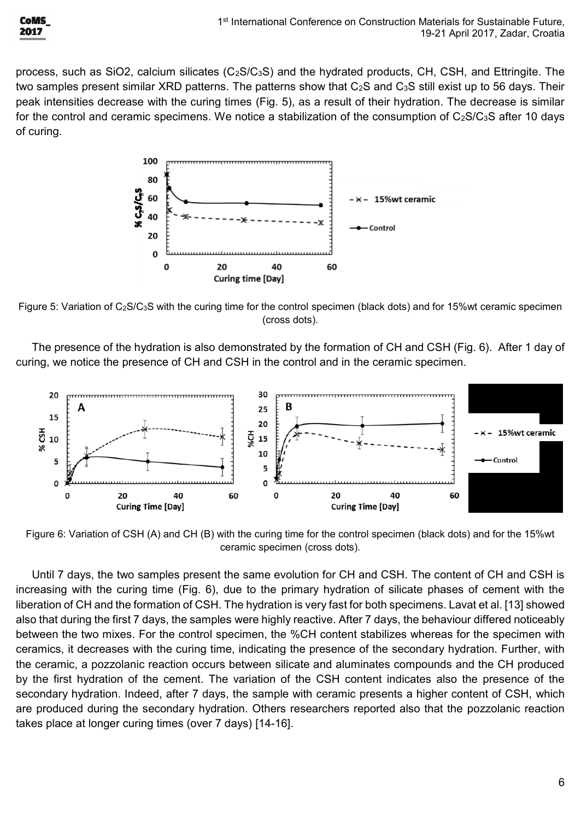

process, such as SiO2, calcium silicates  $(C_2S/C_3S)$  and the hydrated products, CH, CSH, and Ettringite. The two samples present similar XRD patterns. The patterns show that C<sub>2</sub>S and C<sub>3</sub>S still exist up to 56 days. Their peak intensities decrease with the curing times (Fig. 5), as a result of their hydration. The decrease is similar for the control and ceramic specimens. We notice a stabilization of the consumption of  $C_2S/C_3S$  after 10 days of curing.



Figure 5: Variation of C2S/C3S with the curing time for the control specimen (black dots) and for 15%wt ceramic specimen (cross dots).

The presence of the hydration is also demonstrated by the formation of CH and CSH (Fig. 6). After 1 day of curing, we notice the presence of CH and CSH in the control and in the ceramic specimen.



Figure 6: Variation of CSH (A) and CH (B) with the curing time for the control specimen (black dots) and for the 15%wt ceramic specimen (cross dots).

Until 7 days, the two samples present the same evolution for CH and CSH. The content of CH and CSH is increasing with the curing time (Fig. 6), due to the primary hydration of silicate phases of cement with the liberation of CH and the formation of CSH. The hydration is very fast for both specimens. Lavat et al. [13] showed also that during the first 7 days, the samples were highly reactive. After 7 days, the behaviour differed noticeably between the two mixes. For the control specimen, the %CH content stabilizes whereas for the specimen with ceramics, it decreases with the curing time, indicating the presence of the secondary hydration. Further, with the ceramic, a pozzolanic reaction occurs between silicate and aluminates compounds and the CH produced by the first hydration of the cement. The variation of the CSH content indicates also the presence of the secondary hydration. Indeed, after 7 days, the sample with ceramic presents a higher content of CSH, which are produced during the secondary hydration. Others researchers reported also that the pozzolanic reaction takes place at longer curing times (over 7 days) [14-16].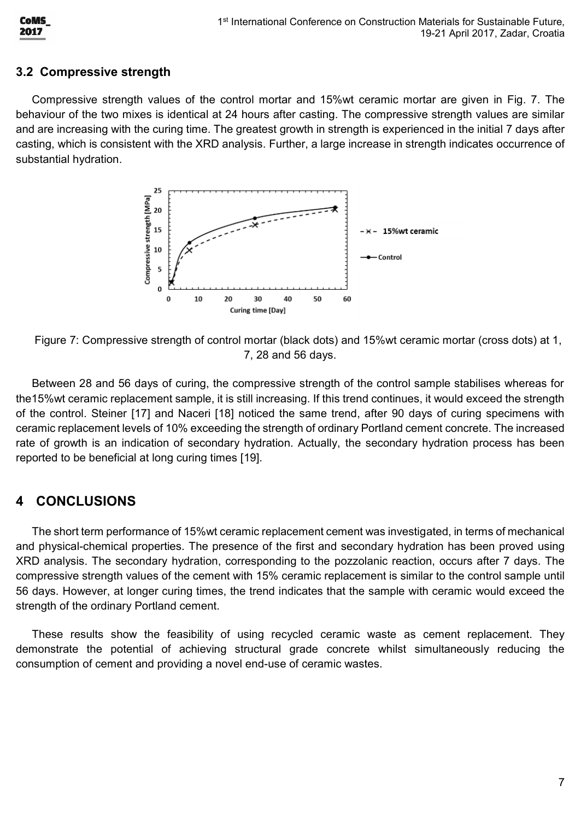

#### **3.2 Compressive strength**

Compressive strength values of the control mortar and 15%wt ceramic mortar are given in Fig. 7. The behaviour of the two mixes is identical at 24 hours after casting. The compressive strength values are similar and are increasing with the curing time. The greatest growth in strength is experienced in the initial 7 days after casting, which is consistent with the XRD analysis. Further, a large increase in strength indicates occurrence of substantial hydration.



Figure 7: Compressive strength of control mortar (black dots) and 15%wt ceramic mortar (cross dots) at 1, 7, 28 and 56 days.

Between 28 and 56 days of curing, the compressive strength of the control sample stabilises whereas for the15%wt ceramic replacement sample, it is still increasing. If this trend continues, it would exceed the strength of the control. Steiner [17] and Naceri [18] noticed the same trend, after 90 days of curing specimens with ceramic replacement levels of 10% exceeding the strength of ordinary Portland cement concrete. The increased rate of growth is an indication of secondary hydration. Actually, the secondary hydration process has been reported to be beneficial at long curing times [19].

### **4 CONCLUSIONS**

The short term performance of 15%wt ceramic replacement cement was investigated, in terms of mechanical and physical-chemical properties. The presence of the first and secondary hydration has been proved using XRD analysis. The secondary hydration, corresponding to the pozzolanic reaction, occurs after 7 days. The compressive strength values of the cement with 15% ceramic replacement is similar to the control sample until 56 days. However, at longer curing times, the trend indicates that the sample with ceramic would exceed the strength of the ordinary Portland cement.

These results show the feasibility of using recycled ceramic waste as cement replacement. They demonstrate the potential of achieving structural grade concrete whilst simultaneously reducing the consumption of cement and providing a novel end-use of ceramic wastes.